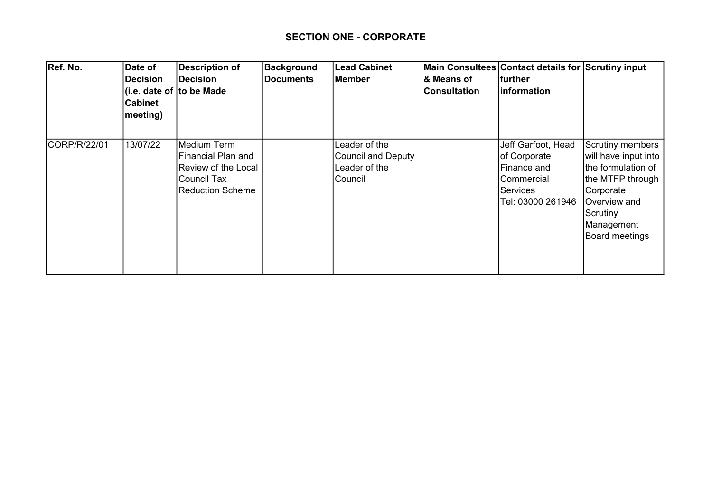## SECTION ONE - CORPORATE

| Ref. No.     | Date of<br><b>Decision</b><br><b>Cabinet</b><br>meeting) | <b>Description of</b><br>Decision<br>(i.e. date of to be Made                                             | Background<br><b>Documents</b> | <b>Lead Cabinet</b><br>Member                                   | <b>&amp; Means of</b><br> Consultation | Main Consultees Contact details for Scrutiny input<br> further<br> information                          |                                                                                                                                                                     |
|--------------|----------------------------------------------------------|-----------------------------------------------------------------------------------------------------------|--------------------------------|-----------------------------------------------------------------|----------------------------------------|---------------------------------------------------------------------------------------------------------|---------------------------------------------------------------------------------------------------------------------------------------------------------------------|
| CORP/R/22/01 | 13/07/22                                                 | Medium Term<br>Financial Plan and<br>Review of the Local<br><b>Council Tax</b><br><b>Reduction Scheme</b> |                                | Leader of the<br>Council and Deputy<br>Leader of the<br>Council |                                        | Jeff Garfoot, Head<br>of Corporate<br>Finance and<br>Commercial<br><b>Services</b><br>Tel: 03000 261946 | <b>Scrutiny members</b><br>will have input into<br>Ithe formulation of<br>the MTFP through<br>Corporate<br>Overview and<br>Scrutiny<br>Management<br>Board meetings |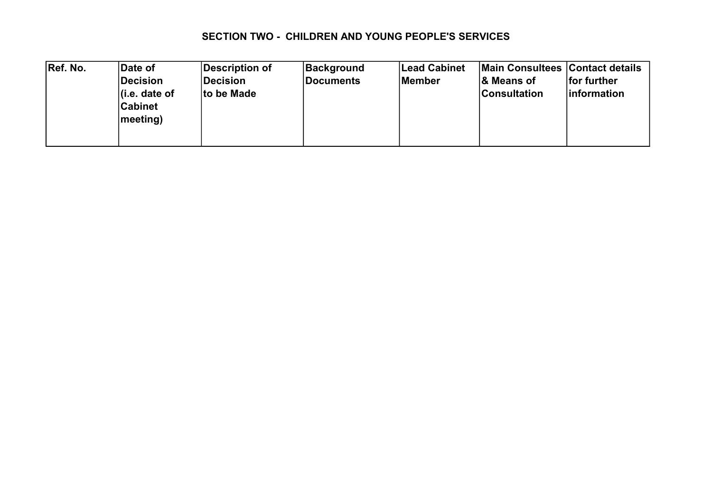### SECTION TWO - CHILDREN AND YOUNG PEOPLE'S SERVICES

| Ref. No. | Date of           | Description of  | <b>Background</b> | <b>Lead Cabinet</b> | Main Consultees Contact details |                     |
|----------|-------------------|-----------------|-------------------|---------------------|---------------------------------|---------------------|
|          | <b>Decision</b>   | <b>Decision</b> | Documents         | Member              | <b>&amp; Means of</b>           | for further         |
|          | (i.e. date of     | to be Made      |                   |                     | <b>Consultation</b>             | <i>linformation</i> |
|          | <b>Cabinet</b>    |                 |                   |                     |                                 |                     |
|          | $ meeting\rangle$ |                 |                   |                     |                                 |                     |
|          |                   |                 |                   |                     |                                 |                     |
|          |                   |                 |                   |                     |                                 |                     |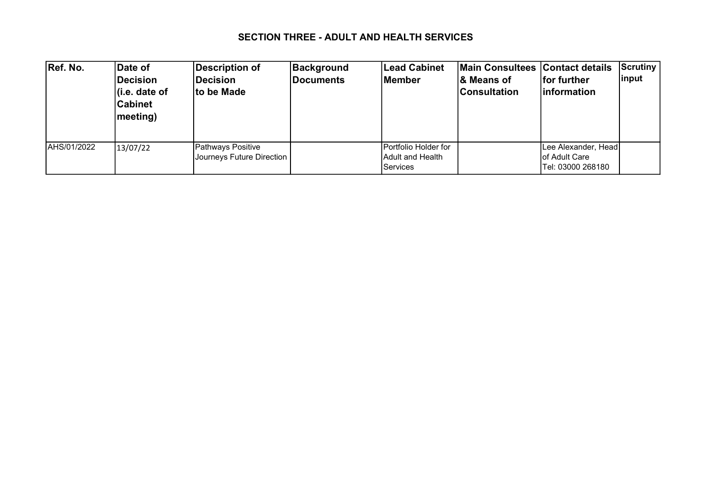### SECTION THREE - ADULT AND HEALTH SERVICES

| Ref. No.     | Date of<br><b>Decision</b><br>∣(i.e. date of<br><b>Cabinet</b><br>meeting) | <b>Description of</b><br><b>Decision</b><br>to be Made | Background<br><b>Documents</b> | <b>Lead Cabinet</b><br><b>IMember</b>                                | Main Consultees Contact details<br>l& Means of<br><b>Consultation</b> | <b>Ifor further</b><br><b>Information</b>                         | Scrutiny<br> input |
|--------------|----------------------------------------------------------------------------|--------------------------------------------------------|--------------------------------|----------------------------------------------------------------------|-----------------------------------------------------------------------|-------------------------------------------------------------------|--------------------|
| IAHS/01/2022 | 13/07/22                                                                   | Pathways Positive<br>Journeys Future Direction         |                                | <b>IPortfolio Holder for</b><br>IAdult and Health<br><b>Services</b> |                                                                       | Lee Alexander, Head<br><b>lof Adult Care</b><br>Tel: 03000 268180 |                    |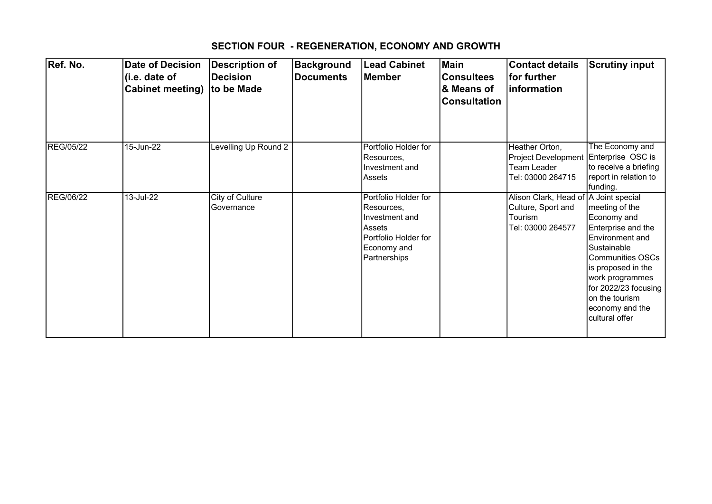# SECTION FOUR - REGENERATION, ECONOMY AND GROWTH

| Ref. No.         | <b>Date of Decision</b><br>(i.e. date of<br><b>Cabinet meeting)</b> | <b>Description of</b><br><b>Decision</b><br>to be Made | <b>Background</b><br><b>Documents</b> | Lead Cabinet<br><b>Member</b>                                                                                         | <b>Main</b><br><b>Consultees</b><br>& Means of<br><b>Consultation</b> | <b>Contact details</b><br>for further<br>information                                        | <b>Scrutiny input</b>                                                                                                                                                                                                                           |
|------------------|---------------------------------------------------------------------|--------------------------------------------------------|---------------------------------------|-----------------------------------------------------------------------------------------------------------------------|-----------------------------------------------------------------------|---------------------------------------------------------------------------------------------|-------------------------------------------------------------------------------------------------------------------------------------------------------------------------------------------------------------------------------------------------|
| REG/05/22        | 15-Jun-22                                                           | Levelling Up Round 2                                   |                                       | Portfolio Holder for<br>Resources,<br>Investment and<br>Assets                                                        |                                                                       | Heather Orton,<br>Project Development<br>Team Leader<br>Tel: 03000 264715                   | The Economy and<br>Enterprise OSC is<br>to receive a briefing<br>report in relation to<br>funding.                                                                                                                                              |
| <b>REG/06/22</b> | $13 -$ Jul-22                                                       | City of Culture<br>Governance                          |                                       | Portfolio Holder for<br>Resources,<br>Investment and<br>Assets<br>Portfolio Holder for<br>Economy and<br>Partnerships |                                                                       | Alison Clark, Head of A Joint special<br>Culture, Sport and<br>Tourism<br>Tel: 03000 264577 | meeting of the<br>Economy and<br>Enterprise and the<br><b>Environment</b> and<br>Sustainable<br><b>Communities OSCs</b><br>is proposed in the<br>work programmes<br>for 2022/23 focusing<br>on the tourism<br>economy and the<br>cultural offer |